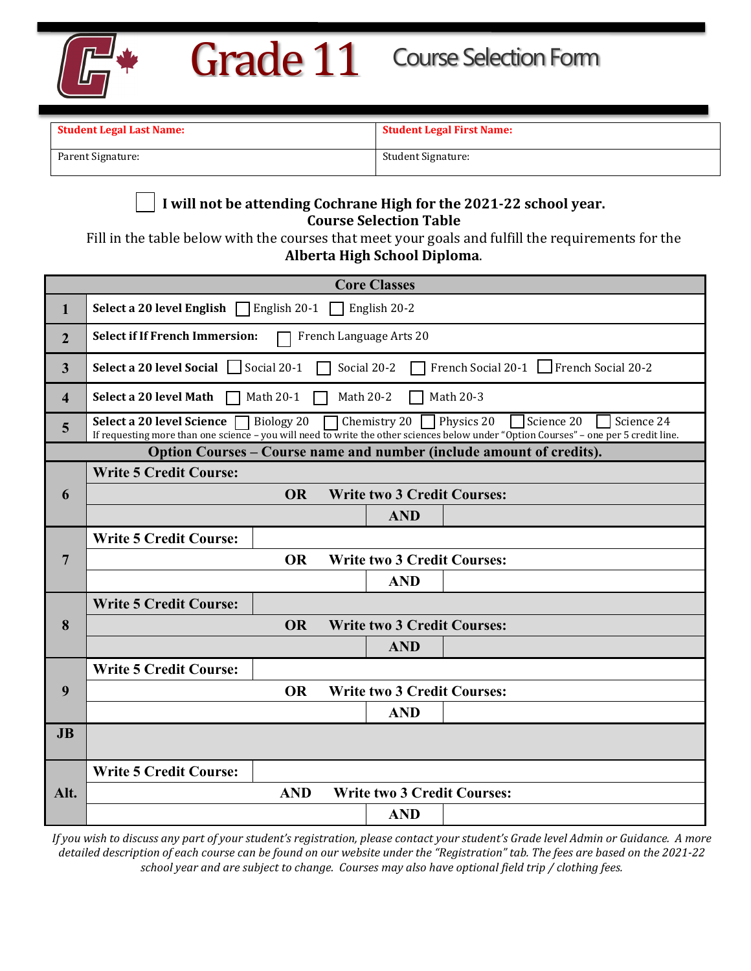

| <b>Student Legal Last Name:</b> | <b>Student Legal First Name:</b> |  |  |  |  |  |
|---------------------------------|----------------------------------|--|--|--|--|--|
| Parent Signature:               | Student Signature:               |  |  |  |  |  |

## **I will not be attending Cochrane High for the 2021-22 school year. Course Selection Table**

Fill in the table below with the courses that meet your goals and fulfill the requirements for the **Alberta High School Diploma**.

| <b>Core Classes</b>                                                  |                                                                                                                                                                                                                                         |           |                                    |  |  |  |  |  |  |  |
|----------------------------------------------------------------------|-----------------------------------------------------------------------------------------------------------------------------------------------------------------------------------------------------------------------------------------|-----------|------------------------------------|--|--|--|--|--|--|--|
| 1                                                                    | English 20-2<br>Select a 20 level English $\Box$ English 20-1                                                                                                                                                                           |           |                                    |  |  |  |  |  |  |  |
| $\overline{2}$                                                       | <b>Select if If French Immersion:</b><br>French Language Arts 20                                                                                                                                                                        |           |                                    |  |  |  |  |  |  |  |
| $\overline{3}$                                                       | Social 20-1<br>Select a 20 level Social<br>French Social 20-1 French Social 20-2<br>Social 20-2                                                                                                                                         |           |                                    |  |  |  |  |  |  |  |
| $\overline{\mathbf{4}}$                                              | Select a 20 level Math<br>Math 20-2<br>Math 20-3<br>Math 20-1                                                                                                                                                                           |           |                                    |  |  |  |  |  |  |  |
| 5                                                                    | Chemistry 20 Physics 20<br>Science 20<br>Biology 20<br>Science 24<br>Select a 20 level Science<br>If requesting more than one science - you will need to write the other sciences below under "Option Courses" - one per 5 credit line. |           |                                    |  |  |  |  |  |  |  |
| Option Courses – Course name and number (include amount of credits). |                                                                                                                                                                                                                                         |           |                                    |  |  |  |  |  |  |  |
|                                                                      | <b>Write 5 Credit Course:</b>                                                                                                                                                                                                           |           |                                    |  |  |  |  |  |  |  |
| 6                                                                    | <b>OR</b><br><b>Write two 3 Credit Courses:</b>                                                                                                                                                                                         |           |                                    |  |  |  |  |  |  |  |
|                                                                      |                                                                                                                                                                                                                                         |           | <b>AND</b>                         |  |  |  |  |  |  |  |
| $\overline{7}$                                                       | <b>Write 5 Credit Course:</b>                                                                                                                                                                                                           |           |                                    |  |  |  |  |  |  |  |
|                                                                      | <b>OR</b><br><b>Write two 3 Credit Courses:</b>                                                                                                                                                                                         |           |                                    |  |  |  |  |  |  |  |
|                                                                      |                                                                                                                                                                                                                                         |           | <b>AND</b>                         |  |  |  |  |  |  |  |
|                                                                      | <b>Write 5 Credit Course:</b>                                                                                                                                                                                                           |           |                                    |  |  |  |  |  |  |  |
| 8                                                                    |                                                                                                                                                                                                                                         | <b>OR</b> | <b>Write two 3 Credit Courses:</b> |  |  |  |  |  |  |  |
|                                                                      |                                                                                                                                                                                                                                         |           | <b>AND</b>                         |  |  |  |  |  |  |  |
| 9                                                                    | <b>Write 5 Credit Course:</b>                                                                                                                                                                                                           |           |                                    |  |  |  |  |  |  |  |
|                                                                      |                                                                                                                                                                                                                                         | <b>OR</b> | <b>Write two 3 Credit Courses:</b> |  |  |  |  |  |  |  |
|                                                                      |                                                                                                                                                                                                                                         |           | <b>AND</b>                         |  |  |  |  |  |  |  |
| J <sub>B</sub>                                                       |                                                                                                                                                                                                                                         |           |                                    |  |  |  |  |  |  |  |
| Alt.                                                                 | <b>Write 5 Credit Course:</b>                                                                                                                                                                                                           |           |                                    |  |  |  |  |  |  |  |
|                                                                      | <b>AND</b><br><b>Write two 3 Credit Courses:</b>                                                                                                                                                                                        |           |                                    |  |  |  |  |  |  |  |
|                                                                      |                                                                                                                                                                                                                                         |           | <b>AND</b>                         |  |  |  |  |  |  |  |

*If you wish to discuss any part of your student's registration, please contact your student's Grade level Admin or Guidance. A more detailed description of each course can be found on our website under the "Registration" tab. The fees are based on the 2021-22 school year and are subject to change. Courses may also have optional field trip / clothing fees.*